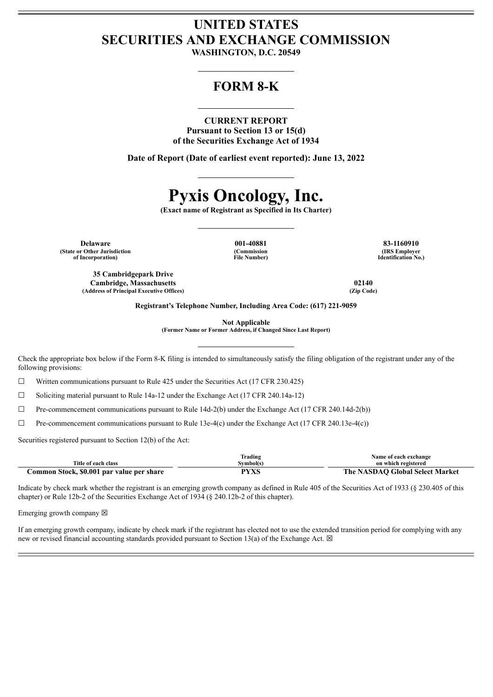# **UNITED STATES SECURITIES AND EXCHANGE COMMISSION**

**WASHINGTON, D.C. 20549**

## **FORM 8-K**

#### **CURRENT REPORT**

**Pursuant to Section 13 or 15(d) of the Securities Exchange Act of 1934**

**Date of Report (Date of earliest event reported): June 13, 2022**

# **Pyxis Oncology, Inc.**

**(Exact name of Registrant as Specified in Its Charter)**

**Delaware 001-40881 83-1160910 (State or Other Jurisdiction of Incorporation)**

**35 Cambridgepark Drive Cambridge, Massachusetts 02140 (Address of Principal Executive Offices) (Zip Code)**

**(Commission File Number)**

**(IRS Employer Identification No.)**

**Registrant's Telephone Number, Including Area Code: (617) 221-9059**

**Not Applicable**

**(Former Name or Former Address, if Changed Since Last Report)**

Check the appropriate box below if the Form 8-K filing is intended to simultaneously satisfy the filing obligation of the registrant under any of the following provisions:

☐ Written communications pursuant to Rule 425 under the Securities Act (17 CFR 230.425)

 $\Box$  Soliciting material pursuant to Rule 14a-12 under the Exchange Act (17 CFR 240.14a-12)

 $\Box$  Pre-commencement communications pursuant to Rule 14d-2(b) under the Exchange Act (17 CFR 240.14d-2(b))

 $\Box$  Pre-commencement communications pursuant to Rule 13e-4(c) under the Exchange Act (17 CFR 240.13e-4(c))

Securities registered pursuant to Section 12(b) of the Act:

|                                           | rading        | Name of each exchange           |
|-------------------------------------------|---------------|---------------------------------|
| Title of each class                       | Svmbol(s      | on which registered             |
| Common Stock, \$0.001 par value per share | DVVC<br>1 A.S | The NASDAO Global Select Market |

Indicate by check mark whether the registrant is an emerging growth company as defined in Rule 405 of the Securities Act of 1933 (§ 230.405 of this chapter) or Rule 12b-2 of the Securities Exchange Act of 1934 (§ 240.12b-2 of this chapter).

Emerging growth company  $\boxtimes$ 

If an emerging growth company, indicate by check mark if the registrant has elected not to use the extended transition period for complying with any new or revised financial accounting standards provided pursuant to Section 13(a) of the Exchange Act.  $\boxtimes$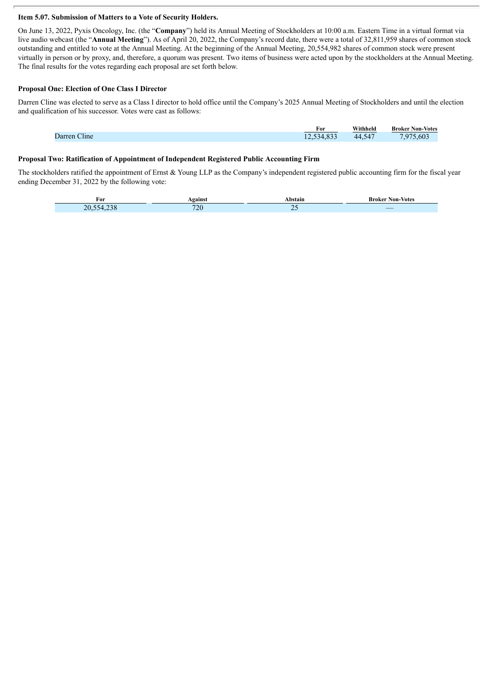#### **Item 5.07. Submission of Matters to a Vote of Security Holders.**

On June 13, 2022, Pyxis Oncology, Inc. (the "**Company**") held its Annual Meeting of Stockholders at 10:00 a.m. Eastern Time in a virtual format via live audio webcast (the "**Annual Meeting**"). As of April 20, 2022, the Company's record date, there were a total of 32,811,959 shares of common stock outstanding and entitled to vote at the Annual Meeting. At the beginning of the Annual Meeting, 20,554,982 shares of common stock were present virtually in person or by proxy, and, therefore, a quorum was present. Two items of business were acted upon by the stockholders at the Annual Meeting. The final results for the votes regarding each proposal are set forth below.

#### **Proposal One: Election of One Class I Director**

Darren Cline was elected to serve as a Class I director to hold office until the Company's 2025 Annual Meeting of Stockholders and until the election and qualification of his successor. Votes were cast as follows:

|              | For                              | Withheld         | <b>Broker Non-Votes</b> |
|--------------|----------------------------------|------------------|-------------------------|
| Darren Cline | 521022<br>-34-<br>4.833<br>14.JJ | 547<br>44<br>سير | .975.603                |

#### **Proposal Two: Ratification of Appointment of Independent Registered Public Accounting Firm**

The stockholders ratified the appointment of Ernst & Young LLP as the Company's independent registered public accounting firm for the fiscal year ending December 31, 2022 by the following vote:

| For                              | <b>gainst</b>            | `bstaiï.                                                                                                                                            | Non-<br>-Votes<br>sroker                                                                                              |
|----------------------------------|--------------------------|-----------------------------------------------------------------------------------------------------------------------------------------------------|-----------------------------------------------------------------------------------------------------------------------|
| $\sim$ $\sim$ $\sim$<br>20<br>NД | $\sim$<br>- 11<br>$\sim$ | $\overline{\phantom{a}}$<br>$\mathcal{L}(\mathcal{L})$ and $\mathcal{L}(\mathcal{L})$ and $\mathcal{L}(\mathcal{L})$ and $\mathcal{L}(\mathcal{L})$ | <b>Contract Contract Contract Contract Contract Contract Contract Contract Contract Contract Contract Contract Co</b> |